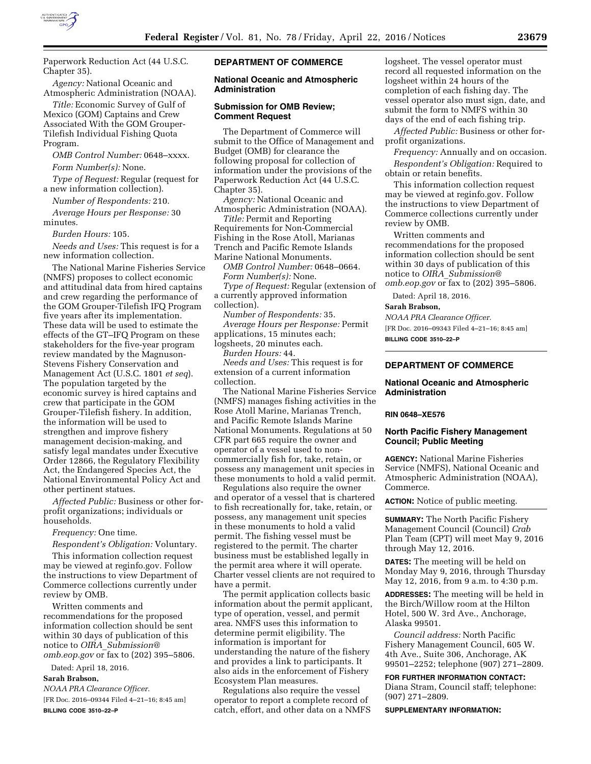

Paperwork Reduction Act (44 U.S.C. Chapter 35).

*Agency:* National Oceanic and Atmospheric Administration (NOAA).

*Title:* Economic Survey of Gulf of Mexico (GOM) Captains and Crew Associated With the GOM Grouper-Tilefish Individual Fishing Quota Program.

*OMB Control Number:* 0648–xxxx. *Form Number(s):* None.

*Type of Request:* Regular (request for a new information collection).

*Number of Respondents:* 210. *Average Hours per Response:* 30 minutes.

*Burden Hours:* 105.

*Needs and Uses:* This request is for a new information collection.

The National Marine Fisheries Service (NMFS) proposes to collect economic and attitudinal data from hired captains and crew regarding the performance of the GOM Grouper-Tilefish IFQ Program five years after its implementation. These data will be used to estimate the effects of the GT–IFQ Program on these stakeholders for the five-year program review mandated by the Magnuson-Stevens Fishery Conservation and Management Act (U.S.C. 1801 *et seq*). The population targeted by the economic survey is hired captains and crew that participate in the GOM Grouper-Tilefish fishery. In addition, the information will be used to strengthen and improve fishery management decision-making, and satisfy legal mandates under Executive Order 12866, the Regulatory Flexibility Act, the Endangered Species Act, the National Environmental Policy Act and other pertinent statues.

*Affected Public:* Business or other forprofit organizations; individuals or households.

*Frequency:* One time.

*Respondent's Obligation:* Voluntary.

This information collection request may be viewed at reginfo.gov. Follow the instructions to view Department of Commerce collections currently under review by OMB.

Written comments and recommendations for the proposed information collection should be sent within 30 days of publication of this notice to *OIRA*\_*[Submission@](mailto:OIRA_Submission@omb.eop.gov) [omb.eop.gov](mailto:OIRA_Submission@omb.eop.gov)* or fax to (202) 395–5806.

Dated: April 18, 2016.

**Sarah Brabson,** 

*NOAA PRA Clearance Officer.* 

[FR Doc. 2016–09344 Filed 4–21–16; 8:45 am] **BILLING CODE 3510–22–P** 

## **DEPARTMENT OF COMMERCE**

### **National Oceanic and Atmospheric Administration**

### **Submission for OMB Review; Comment Request**

The Department of Commerce will submit to the Office of Management and Budget (OMB) for clearance the following proposal for collection of information under the provisions of the Paperwork Reduction Act (44 U.S.C. Chapter 35).

*Agency:* National Oceanic and Atmospheric Administration (NOAA).

*Title:* Permit and Reporting Requirements for Non-Commercial Fishing in the Rose Atoll, Marianas Trench and Pacific Remote Islands Marine National Monuments.

*OMB Control Number:* 0648–0664. *Form Number(s):* None. *Type of Request:* Regular (extension of

a currently approved information collection).

*Number of Respondents:* 35. *Average Hours per Response:* Permit applications, 15 minutes each; logsheets, 20 minutes each.

*Burden Hours:* 44.

*Needs and Uses:* This request is for extension of a current information collection.

The National Marine Fisheries Service (NMFS) manages fishing activities in the Rose Atoll Marine, Marianas Trench, and Pacific Remote Islands Marine National Monuments. Regulations at 50 CFR part 665 require the owner and operator of a vessel used to noncommercially fish for, take, retain, or possess any management unit species in these monuments to hold a valid permit.

Regulations also require the owner and operator of a vessel that is chartered to fish recreationally for, take, retain, or possess, any management unit species in these monuments to hold a valid permit. The fishing vessel must be registered to the permit. The charter business must be established legally in the permit area where it will operate. Charter vessel clients are not required to have a permit.

The permit application collects basic information about the permit applicant, type of operation, vessel, and permit area. NMFS uses this information to determine permit eligibility. The information is important for understanding the nature of the fishery and provides a link to participants. It also aids in the enforcement of Fishery Ecosystem Plan measures.

Regulations also require the vessel operator to report a complete record of catch, effort, and other data on a NMFS logsheet. The vessel operator must record all requested information on the logsheet within 24 hours of the completion of each fishing day. The vessel operator also must sign, date, and submit the form to NMFS within 30 days of the end of each fishing trip.

*Affected Public:* Business or other forprofit organizations.

*Frequency:* Annually and on occasion. *Respondent's Obligation:* Required to obtain or retain benefits.

This information collection request may be viewed at reginfo.gov. Follow the instructions to view Department of Commerce collections currently under review by OMB.

Written comments and recommendations for the proposed information collection should be sent within 30 days of publication of this notice to *OIRA*\_*[Submission@](mailto:OIRA_Submission@omb.eop.gov) [omb.eop.gov](mailto:OIRA_Submission@omb.eop.gov)* or fax to (202) 395–5806.

Dated: April 18, 2016.

#### **Sarah Brabson,**

*NOAA PRA Clearance Officer.*  [FR Doc. 2016–09343 Filed 4–21–16; 8:45 am] **BILLING CODE 3510–22–P** 

# **DEPARTMENT OF COMMERCE**

### **National Oceanic and Atmospheric Administration**

#### **RIN 0648–XE576**

### **North Pacific Fishery Management Council; Public Meeting**

**AGENCY:** National Marine Fisheries Service (NMFS), National Oceanic and Atmospheric Administration (NOAA), Commerce.

**ACTION:** Notice of public meeting.

**SUMMARY:** The North Pacific Fishery Management Council (Council) *Crab*  Plan Team (CPT) will meet May 9, 2016 through May 12, 2016.

**DATES:** The meeting will be held on Monday May 9, 2016, through Thursday May 12, 2016, from 9 a.m. to 4:30 p.m.

**ADDRESSES:** The meeting will be held in the Birch/Willow room at the Hilton Hotel, 500 W. 3rd Ave., Anchorage, Alaska 99501.

*Council address:* North Pacific Fishery Management Council, 605 W. 4th Ave., Suite 306, Anchorage, AK 99501–2252; telephone (907) 271–2809.

**FOR FURTHER INFORMATION CONTACT:**  Diana Stram, Council staff; telephone: (907) 271–2809.